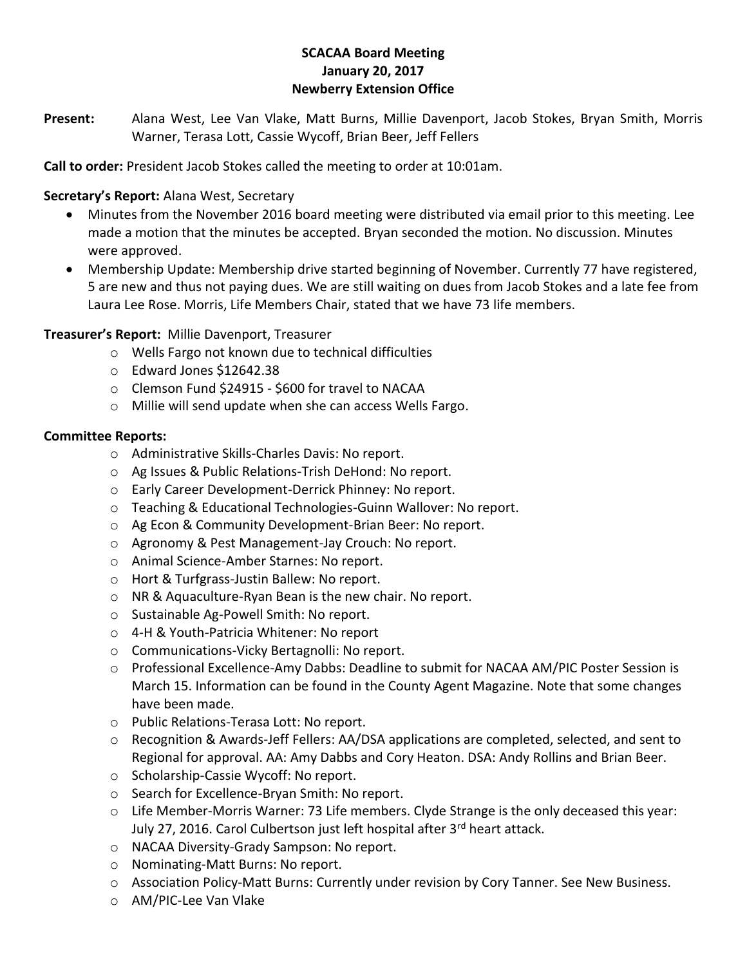# **SCACAA Board Meeting January 20, 2017 Newberry Extension Office**

**Present:** Alana West, Lee Van Vlake, Matt Burns, Millie Davenport, Jacob Stokes, Bryan Smith, Morris Warner, Terasa Lott, Cassie Wycoff, Brian Beer, Jeff Fellers

**Call to order:** President Jacob Stokes called the meeting to order at 10:01am.

### **Secretary's Report:** Alana West, Secretary

- Minutes from the November 2016 board meeting were distributed via email prior to this meeting. Lee made a motion that the minutes be accepted. Bryan seconded the motion. No discussion. Minutes were approved.
- Membership Update: Membership drive started beginning of November. Currently 77 have registered, 5 are new and thus not paying dues. We are still waiting on dues from Jacob Stokes and a late fee from Laura Lee Rose. Morris, Life Members Chair, stated that we have 73 life members.

### **Treasurer's Report:** Millie Davenport, Treasurer

- o Wells Fargo not known due to technical difficulties
- o Edward Jones \$12642.38
- o Clemson Fund \$24915 \$600 for travel to NACAA
- o Millie will send update when she can access Wells Fargo.

#### **Committee Reports:**

- o Administrative Skills-Charles Davis: No report.
- o Ag Issues & Public Relations-Trish DeHond: No report.
- o Early Career Development-Derrick Phinney: No report.
- o Teaching & Educational Technologies-Guinn Wallover: No report.
- o Ag Econ & Community Development-Brian Beer: No report.
- o Agronomy & Pest Management-Jay Crouch: No report.
- o Animal Science-Amber Starnes: No report.
- o Hort & Turfgrass-Justin Ballew: No report.
- o NR & Aquaculture-Ryan Bean is the new chair. No report.
- o Sustainable Ag-Powell Smith: No report.
- o 4-H & Youth-Patricia Whitener: No report
- o Communications-Vicky Bertagnolli: No report.
- o Professional Excellence-Amy Dabbs: Deadline to submit for NACAA AM/PIC Poster Session is March 15. Information can be found in the County Agent Magazine. Note that some changes have been made.
- o Public Relations-Terasa Lott: No report.
- o Recognition & Awards-Jeff Fellers: AA/DSA applications are completed, selected, and sent to Regional for approval. AA: Amy Dabbs and Cory Heaton. DSA: Andy Rollins and Brian Beer.
- o Scholarship-Cassie Wycoff: No report.
- o Search for Excellence-Bryan Smith: No report.
- o Life Member-Morris Warner: 73 Life members. Clyde Strange is the only deceased this year: July 27, 2016. Carol Culbertson just left hospital after 3<sup>rd</sup> heart attack.
- o NACAA Diversity-Grady Sampson: No report.
- o Nominating-Matt Burns: No report.
- o Association Policy-Matt Burns: Currently under revision by Cory Tanner. See New Business.
- o AM/PIC-Lee Van Vlake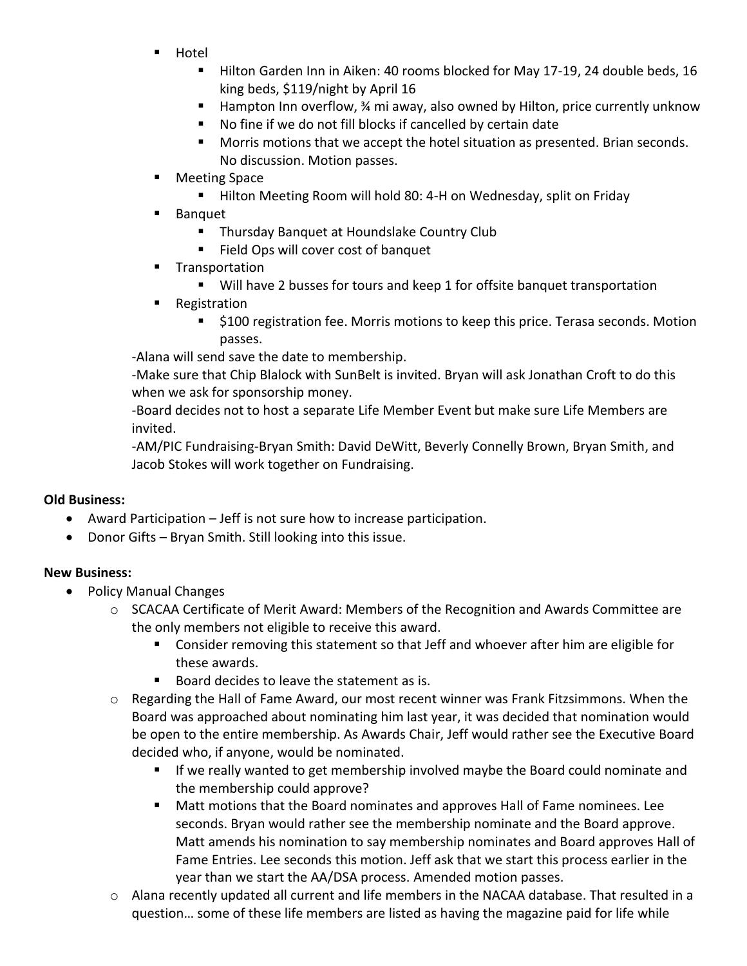- Hotel
	- **Hilton Garden Inn in Aiken: 40 rooms blocked for May 17-19, 24 double beds, 16** king beds, \$119/night by April 16
	- Hampton Inn overflow, 34 mi away, also owned by Hilton, price currently unknow
	- No fine if we do not fill blocks if cancelled by certain date
	- Morris motions that we accept the hotel situation as presented. Brian seconds. No discussion. Motion passes.
- **Meeting Space** 
	- Hilton Meeting Room will hold 80: 4-H on Wednesday, split on Friday
- Banquet
	- Thursday Banquet at Houndslake Country Club
	- Field Ops will cover cost of banquet
- **Transportation** 
	- Will have 2 busses for tours and keep 1 for offsite banquet transportation
- **Registration** 
	- \$100 registration fee. Morris motions to keep this price. Terasa seconds. Motion passes.

-Alana will send save the date to membership.

-Make sure that Chip Blalock with SunBelt is invited. Bryan will ask Jonathan Croft to do this when we ask for sponsorship money.

-Board decides not to host a separate Life Member Event but make sure Life Members are invited.

-AM/PIC Fundraising-Bryan Smith: David DeWitt, Beverly Connelly Brown, Bryan Smith, and Jacob Stokes will work together on Fundraising.

# **Old Business:**

- Award Participation Jeff is not sure how to increase participation.
- Donor Gifts Bryan Smith. Still looking into this issue.

# **New Business:**

- Policy Manual Changes
	- $\circ$  SCACAA Certificate of Merit Award: Members of the Recognition and Awards Committee are the only members not eligible to receive this award.
		- Consider removing this statement so that Jeff and whoever after him are eligible for these awards.
		- Board decides to leave the statement as is.
	- $\circ$  Regarding the Hall of Fame Award, our most recent winner was Frank Fitzsimmons. When the Board was approached about nominating him last year, it was decided that nomination would be open to the entire membership. As Awards Chair, Jeff would rather see the Executive Board decided who, if anyone, would be nominated.
		- If we really wanted to get membership involved maybe the Board could nominate and the membership could approve?
		- Matt motions that the Board nominates and approves Hall of Fame nominees. Lee seconds. Bryan would rather see the membership nominate and the Board approve. Matt amends his nomination to say membership nominates and Board approves Hall of Fame Entries. Lee seconds this motion. Jeff ask that we start this process earlier in the year than we start the AA/DSA process. Amended motion passes.
	- $\circ$  Alana recently updated all current and life members in the NACAA database. That resulted in a question… some of these life members are listed as having the magazine paid for life while